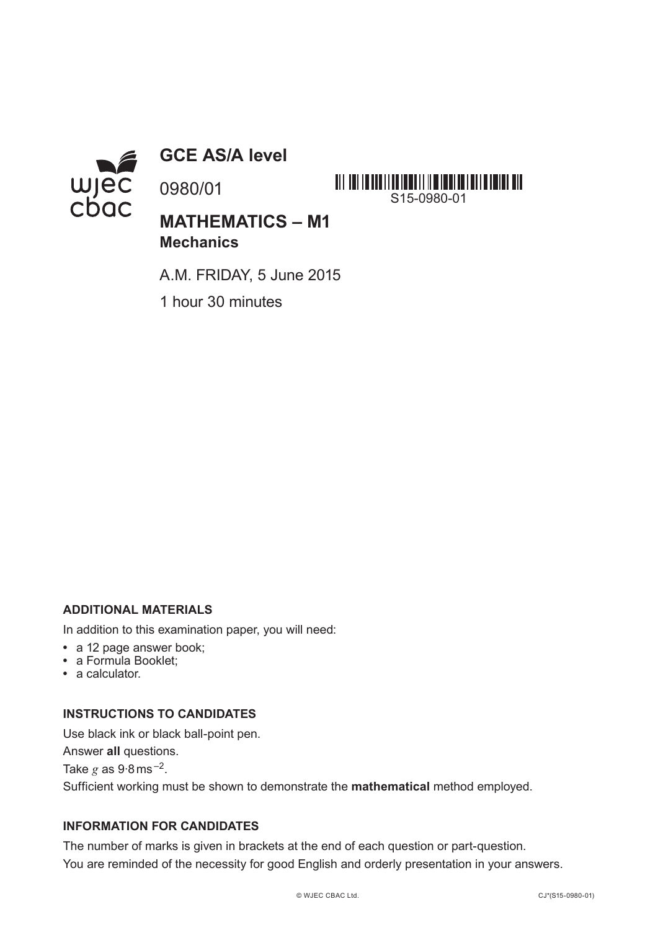

**GCE AS/A level**

0980/01

**MATHEMATICS – M1 Mechanics**

S15-0980-01

<u> 111 | 101 | 0 110 | 1 10 | 100 | 1 11 | 100 | 101 | 0 1 | 0 1 | 0 1 | 10</u>

A.M. FRIDAY, 5 June 2015

1 hour 30 minutes

# **ADDITIONAL MATERIALS**

In addition to this examination paper, you will need:

- **•** a 12 page answer book;
- **•** a Formula Booklet;
- **•** a calculator.

# **INSTRUCTIONS TO CANDIDATES**

Use black ink or black ball-point pen. Answer **all** questions. Take  $g$  as  $9.8$  ms<sup> $-2$ </sup>. Sufficient working must be shown to demonstrate the **mathematical** method employed.

### **INFORMATION FOR CANDIDATES**

The number of marks is given in brackets at the end of each question or part-question. You are reminded of the necessity for good English and orderly presentation in your answers.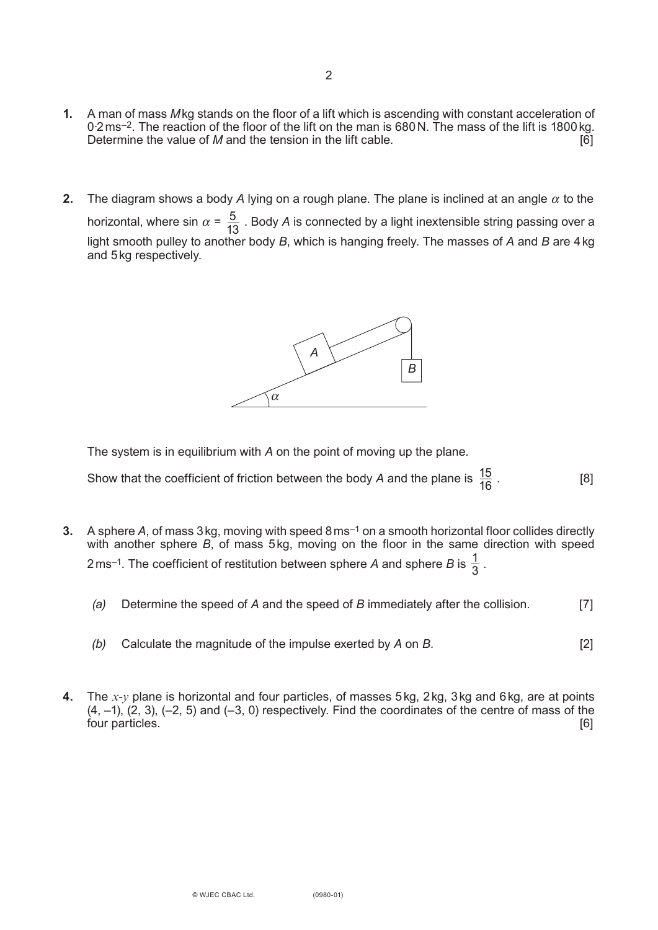- **1.** A man of mass *M*kg stands on the floor of a lift which is ascending with constant acceleration of 0·2ms<sup>-2</sup>. The reaction of the floor of the lift on the man is 680 N. The mass of the lift is 1800 kg.<br>Determine the value of M and the tension in the lift cable. Determine the value of *M* and the tension in the lift cable.
- **2.** The diagram shows a body A lying on a rough plane. The plane is inclined at an angle  $\alpha$  to the horizontal, where sin  $\alpha = \frac{5}{12}$ . Body *A* is connected by a light inextensible string passing over a light smooth pulley to another body *B*, which is hanging freely. The masses of *A* and *B* are 4kg and 5kg respectively. 13



The system is in equilibrium with *A* on the point of moving up the plane.

Show that the coefficient of friction between the body *A* and the plane is  $\frac{15}{46}$ . [8] 16

- **3.** A sphere *A*, of mass 3kg, moving with speed 8ms–1 on a smooth horizontal floor collides directly with another sphere *B*, of mass 5kg, moving on the floor in the same direction with speed 2 ms<sup>-1</sup>. The coefficient of restitution between sphere *A* and sphere *B* is  $\frac{1}{2}$  . 3
	- *(a)* Determine the speed of *A* and the speed of *B* immediately after the collision. [7]
	- *(b)* Calculate the magnitude of the impulse exerted by *A* on *B*. [2]
- **4.** The *x*-*y* plane is horizontal and four particles, of masses 5kg, 2kg, 3kg and 6kg, are at points  $(4, -1)$ ,  $(2, 3)$ ,  $(-2, 5)$  and  $(-3, 0)$  respectively. Find the coordinates of the centre of mass of the four particles. [6]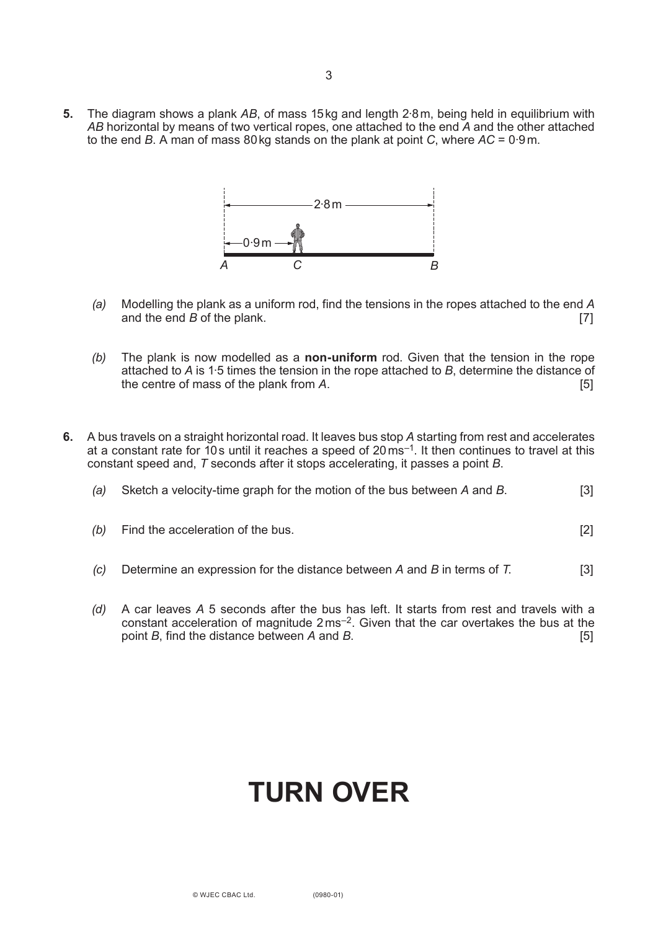**5.** The diagram shows a plank *AB*, of mass 15kg and length 2·8m, being held in equilibrium with *AB* horizontal by means of two vertical ropes, one attached to the end *A* and the other attached to the end *B*. A man of mass 80kg stands on the plank at point *C*, where *AC* = 0·9m.



- *(a)* Modelling the plank as a uniform rod, find the tensions in the ropes attached to the end *A* and the end *B* of the plank. [7]
- *(b)* The plank is now modelled as a **non-uniform** rod. Given that the tension in the rope attached to *A* is 1·5 times the tension in the rope attached to *B*, determine the distance of the centre of mass of the plank from *A*. [5]
- **6.** A bus travels on a straight horizontal road. It leaves bus stop *A* starting from rest and accelerates at a constant rate for 10s until it reaches a speed of 20ms–1. It then continues to travel at this constant speed and, *T* seconds after it stops accelerating, it passes a point *B*.

| (a) Sketch a velocity-time graph for the motion of the bus between $A$ and $B$ . | [3] |
|----------------------------------------------------------------------------------|-----|
|                                                                                  |     |

- *(b)* Find the acceleration of the bus. [2]
- *(c)* Determine an expression for the distance between *A* and *B* in terms of *T*. [3]
- *(d)* A car leaves *A* 5 seconds after the bus has left. It starts from rest and travels with a constant acceleration of magnitude 2ms–2. Given that the car overtakes the bus at the point *B*, find the distance between *A* and *B*. [5]

# **TURN OVER**